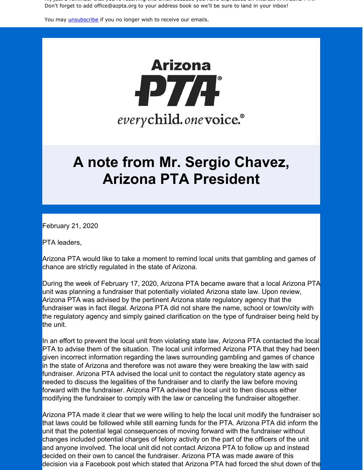Hi, just a reminder that you're receiving this email because you have expressed an interest in Arizona PTA. Don't forget to add office@azpta.org to your address book so we'll be sure to land in your inbox!

You may *[unsubscribe](https://visitor.constantcontact.com/do?p=un&m=0015Ls-oo8gf__TAtUBCd-drA%3D%3D&ch=&ca=595501f0-ca45-4431-95a8-fcbaeb3fb31e)* if you no longer wish to receive our emails.



## **A note from Mr. Sergio Chavez, Arizona PTA President**

February 21, 2020

PTA leaders,

Arizona PTA would like to take a moment to remind local units that gambling and games of chance are strictly regulated in the state of Arizona.

During the week of February 17, 2020, Arizona PTA became aware that a local Arizona PTA unit was planning a fundraiser that potentially violated Arizona state law. Upon review, Arizona PTA was advised by the pertinent Arizona state regulatory agency that the fundraiser was in fact illegal. Arizona PTA did not share the name, school or town/city with the regulatory agency and simply gained clarification on the type of fundraiser being held by the unit.

In an effort to prevent the local unit from violating state law, Arizona PTA contacted the local PTA to advise them of the situation. The local unit informed Arizona PTA that they had been given incorrect information regarding the laws surrounding gambling and games of chance in the state of Arizona and therefore was not aware they were breaking the law with said fundraiser. Arizona PTA advised the local unit to contact the regulatory state agency as needed to discuss the legalities of the fundraiser and to clarify the law before moving forward with the fundraiser. Arizona PTA advised the local unit to then discuss either modifying the fundraiser to comply with the law or canceling the fundraiser altogether.

Arizona PTA made it clear that we were willing to help the local unit modify the fundraiser so that laws could be followed while still earning funds for the PTA. Arizona PTA did inform the unit that the potential legal consequences of moving forward with the fundraiser without changes included potential charges of felony activity on the part of the officers of the unit and anyone involved. The local unit did not contact Arizona PTA to follow up and instead decided on their own to cancel the fundraiser. Arizona PTA was made aware of this decision via a Facebook post which stated that Arizona PTA had forced the shut down of the